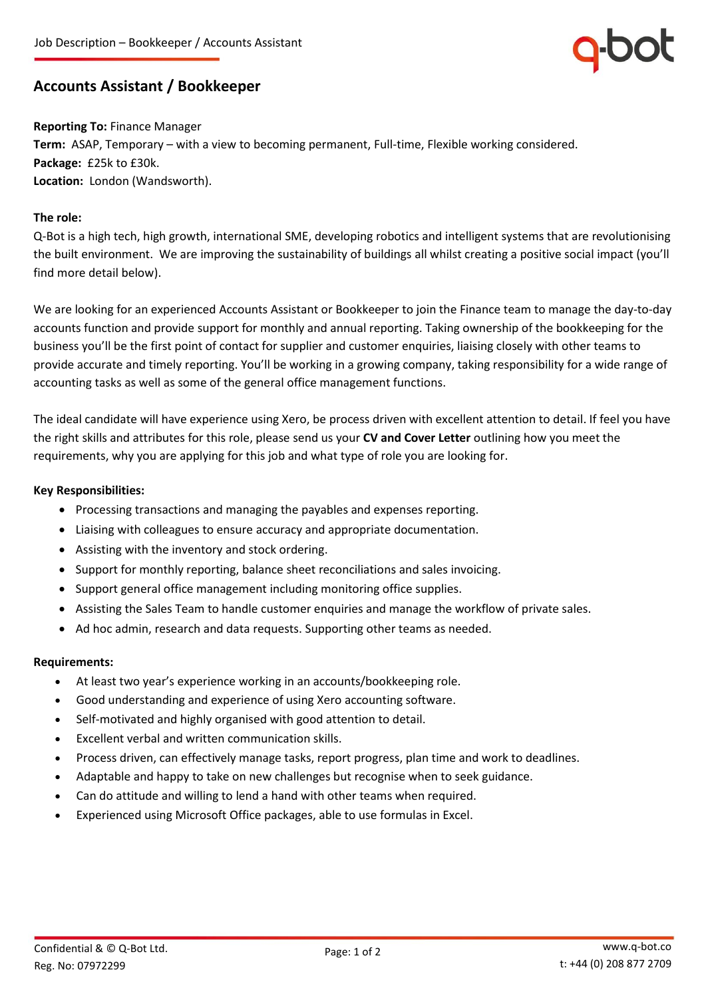

# **Accounts Assistant / Bookkeeper**

**Reporting To:** Finance Manager **Term:** ASAP, Temporary – with a view to becoming permanent, Full-time, Flexible working considered. **Package:** £25k to £30k. **Location:** London (Wandsworth).

### **The role:**

Q-Bot is a high tech, high growth, international SME, developing robotics and intelligent systems that are revolutionising the built environment. We are improving the sustainability of buildings all whilst creating a positive social impact (you'll find more detail below).

We are looking for an experienced Accounts Assistant or Bookkeeper to join the Finance team to manage the day-to-day accounts function and provide support for monthly and annual reporting. Taking ownership of the bookkeeping for the business you'll be the first point of contact for supplier and customer enquiries, liaising closely with other teams to provide accurate and timely reporting. You'll be working in a growing company, taking responsibility for a wide range of accounting tasks as well as some of the general office management functions.

The ideal candidate will have experience using Xero, be process driven with excellent attention to detail. If feel you have the right skills and attributes for this role, please send us your **CV and Cover Letter** outlining how you meet the requirements, why you are applying for this job and what type of role you are looking for.

#### **Key Responsibilities:**

- Processing transactions and managing the payables and expenses reporting.
- Liaising with colleagues to ensure accuracy and appropriate documentation.
- Assisting with the inventory and stock ordering.
- Support for monthly reporting, balance sheet reconciliations and sales invoicing.
- Support general office management including monitoring office supplies.
- Assisting the Sales Team to handle customer enquiries and manage the workflow of private sales.
- Ad hoc admin, research and data requests. Supporting other teams as needed.

#### **Requirements:**

- At least two year's experience working in an accounts/bookkeeping role.
- Good understanding and experience of using Xero accounting software.
- Self-motivated and highly organised with good attention to detail.
- Excellent verbal and written communication skills.
- Process driven, can effectively manage tasks, report progress, plan time and work to deadlines.
- Adaptable and happy to take on new challenges but recognise when to seek guidance.
- Can do attitude and willing to lend a hand with other teams when required.
- Experienced using Microsoft Office packages, able to use formulas in Excel.